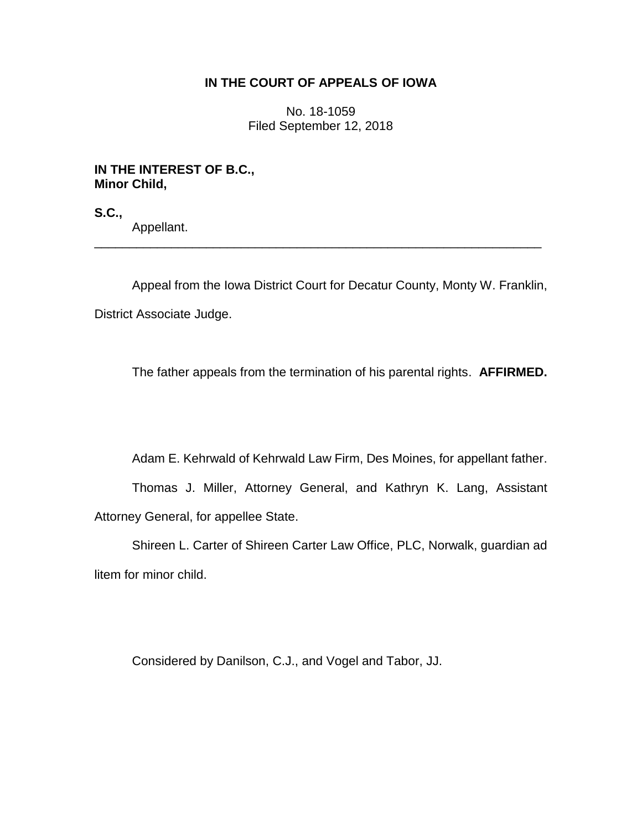## **IN THE COURT OF APPEALS OF IOWA**

No. 18-1059 Filed September 12, 2018

## **IN THE INTEREST OF B.C., Minor Child,**

**S.C.,**

Appellant.

Appeal from the Iowa District Court for Decatur County, Monty W. Franklin, District Associate Judge.

\_\_\_\_\_\_\_\_\_\_\_\_\_\_\_\_\_\_\_\_\_\_\_\_\_\_\_\_\_\_\_\_\_\_\_\_\_\_\_\_\_\_\_\_\_\_\_\_\_\_\_\_\_\_\_\_\_\_\_\_\_\_\_\_

The father appeals from the termination of his parental rights. **AFFIRMED.**

Adam E. Kehrwald of Kehrwald Law Firm, Des Moines, for appellant father.

Thomas J. Miller, Attorney General, and Kathryn K. Lang, Assistant Attorney General, for appellee State.

Shireen L. Carter of Shireen Carter Law Office, PLC, Norwalk, guardian ad litem for minor child.

Considered by Danilson, C.J., and Vogel and Tabor, JJ.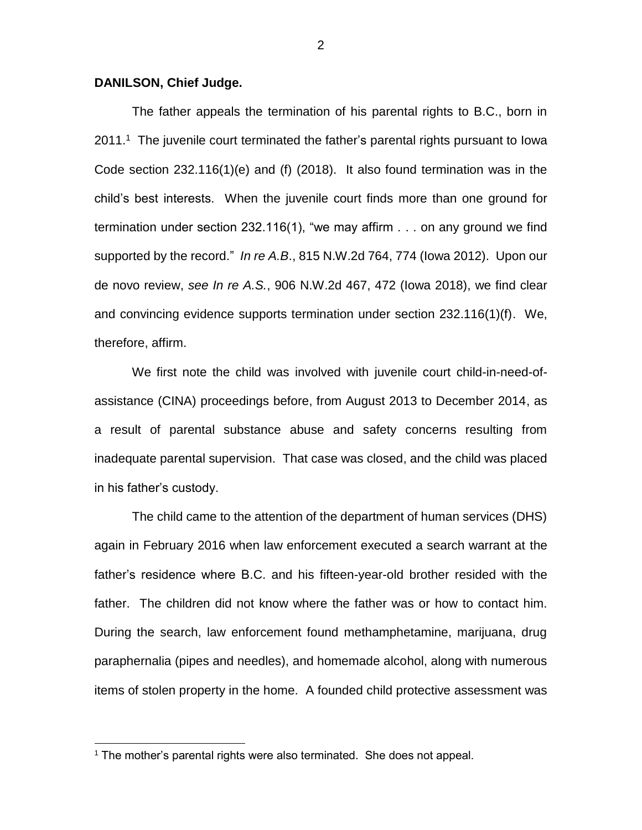## **DANILSON, Chief Judge.**

The father appeals the termination of his parental rights to B.C., born in  $2011<sup>1</sup>$  The juvenile court terminated the father's parental rights pursuant to lowa Code section 232.116(1)(e) and (f) (2018). It also found termination was in the child's best interests. When the juvenile court finds more than one ground for termination under section 232.116(1), "we may affirm . . . on any ground we find supported by the record." *In re A.B*., 815 N.W.2d 764, 774 (Iowa 2012). Upon our de novo review, *see In re A.S.*, 906 N.W.2d 467, 472 (Iowa 2018), we find clear and convincing evidence supports termination under section 232.116(1)(f). We, therefore, affirm.

We first note the child was involved with juvenile court child-in-need-ofassistance (CINA) proceedings before, from August 2013 to December 2014, as a result of parental substance abuse and safety concerns resulting from inadequate parental supervision. That case was closed, and the child was placed in his father's custody.

The child came to the attention of the department of human services (DHS) again in February 2016 when law enforcement executed a search warrant at the father's residence where B.C. and his fifteen-year-old brother resided with the father. The children did not know where the father was or how to contact him. During the search, law enforcement found methamphetamine, marijuana, drug paraphernalia (pipes and needles), and homemade alcohol, along with numerous items of stolen property in the home. A founded child protective assessment was

 $\overline{a}$ 

<sup>&</sup>lt;sup>1</sup> The mother's parental rights were also terminated. She does not appeal.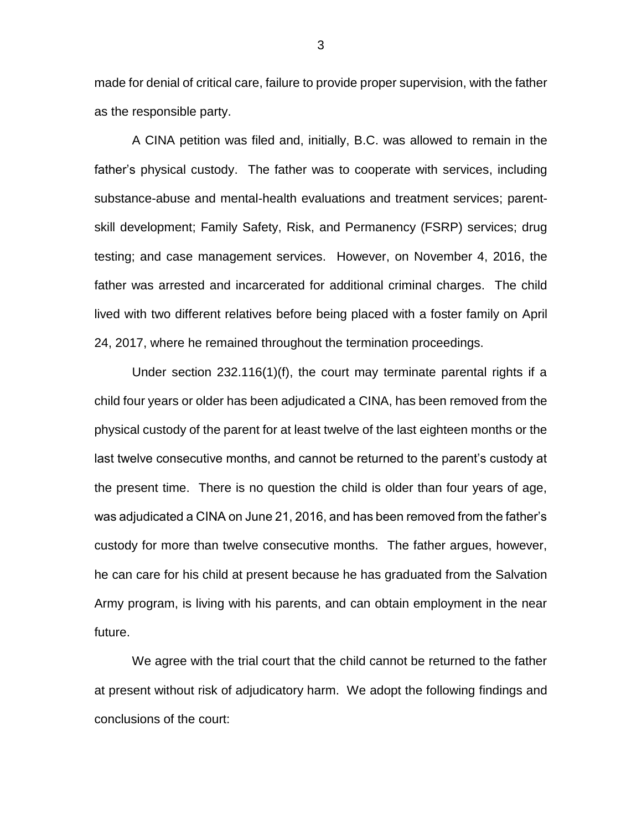made for denial of critical care, failure to provide proper supervision, with the father as the responsible party.

A CINA petition was filed and, initially, B.C. was allowed to remain in the father's physical custody. The father was to cooperate with services, including substance-abuse and mental-health evaluations and treatment services; parentskill development; Family Safety, Risk, and Permanency (FSRP) services; drug testing; and case management services. However, on November 4, 2016, the father was arrested and incarcerated for additional criminal charges. The child lived with two different relatives before being placed with a foster family on April 24, 2017, where he remained throughout the termination proceedings.

Under section 232.116(1)(f), the court may terminate parental rights if a child four years or older has been adjudicated a CINA, has been removed from the physical custody of the parent for at least twelve of the last eighteen months or the last twelve consecutive months, and cannot be returned to the parent's custody at the present time. There is no question the child is older than four years of age, was adjudicated a CINA on June 21, 2016, and has been removed from the father's custody for more than twelve consecutive months. The father argues, however, he can care for his child at present because he has graduated from the Salvation Army program, is living with his parents, and can obtain employment in the near future.

We agree with the trial court that the child cannot be returned to the father at present without risk of adjudicatory harm. We adopt the following findings and conclusions of the court:

3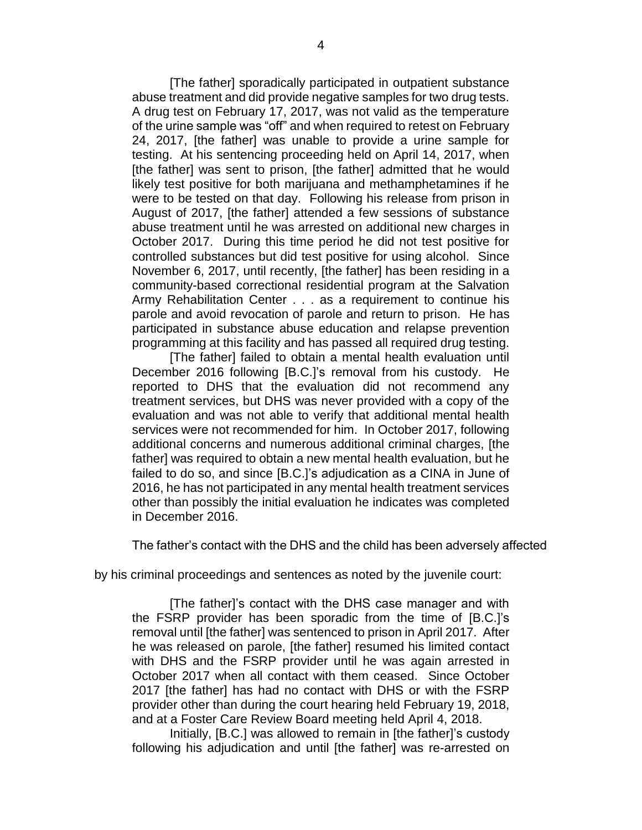[The father] sporadically participated in outpatient substance abuse treatment and did provide negative samples for two drug tests. A drug test on February 17, 2017, was not valid as the temperature of the urine sample was "off" and when required to retest on February 24, 2017, [the father] was unable to provide a urine sample for testing. At his sentencing proceeding held on April 14, 2017, when [the father] was sent to prison, [the father] admitted that he would likely test positive for both marijuana and methamphetamines if he were to be tested on that day. Following his release from prison in August of 2017, [the father] attended a few sessions of substance abuse treatment until he was arrested on additional new charges in October 2017. During this time period he did not test positive for controlled substances but did test positive for using alcohol. Since November 6, 2017, until recently, [the father] has been residing in a community-based correctional residential program at the Salvation Army Rehabilitation Center . . . as a requirement to continue his parole and avoid revocation of parole and return to prison. He has participated in substance abuse education and relapse prevention programming at this facility and has passed all required drug testing.

[The father] failed to obtain a mental health evaluation until December 2016 following [B.C.]'s removal from his custody. He reported to DHS that the evaluation did not recommend any treatment services, but DHS was never provided with a copy of the evaluation and was not able to verify that additional mental health services were not recommended for him. In October 2017, following additional concerns and numerous additional criminal charges, [the father] was required to obtain a new mental health evaluation, but he failed to do so, and since [B.C.]'s adjudication as a CINA in June of 2016, he has not participated in any mental health treatment services other than possibly the initial evaluation he indicates was completed in December 2016.

The father's contact with the DHS and the child has been adversely affected

by his criminal proceedings and sentences as noted by the juvenile court:

[The father]'s contact with the DHS case manager and with the FSRP provider has been sporadic from the time of [B.C.]'s removal until [the father] was sentenced to prison in April 2017. After he was released on parole, [the father] resumed his limited contact with DHS and the FSRP provider until he was again arrested in October 2017 when all contact with them ceased. Since October 2017 [the father] has had no contact with DHS or with the FSRP provider other than during the court hearing held February 19, 2018, and at a Foster Care Review Board meeting held April 4, 2018.

Initially, [B.C.] was allowed to remain in [the father]'s custody following his adjudication and until [the father] was re-arrested on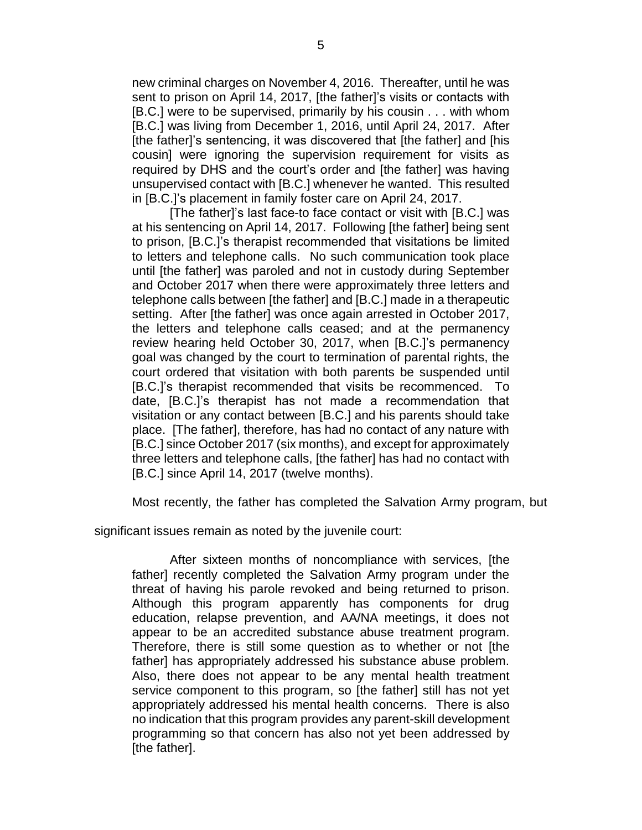new criminal charges on November 4, 2016. Thereafter, until he was sent to prison on April 14, 2017, [the father]'s visits or contacts with [B.C.] were to be supervised, primarily by his cousin . . . with whom [B.C.] was living from December 1, 2016, until April 24, 2017. After [the father]'s sentencing, it was discovered that [the father] and [his cousin] were ignoring the supervision requirement for visits as required by DHS and the court's order and [the father] was having unsupervised contact with [B.C.] whenever he wanted. This resulted in [B.C.]'s placement in family foster care on April 24, 2017.

[The father]'s last face-to face contact or visit with [B.C.] was at his sentencing on April 14, 2017. Following [the father] being sent to prison, [B.C.]'s therapist recommended that visitations be limited to letters and telephone calls. No such communication took place until [the father] was paroled and not in custody during September and October 2017 when there were approximately three letters and telephone calls between [the father] and [B.C.] made in a therapeutic setting. After [the father] was once again arrested in October 2017, the letters and telephone calls ceased; and at the permanency review hearing held October 30, 2017, when [B.C.]'s permanency goal was changed by the court to termination of parental rights, the court ordered that visitation with both parents be suspended until [B.C.]'s therapist recommended that visits be recommenced. To date, [B.C.]'s therapist has not made a recommendation that visitation or any contact between [B.C.] and his parents should take place. [The father], therefore, has had no contact of any nature with [B.C.] since October 2017 (six months), and except for approximately three letters and telephone calls, [the father] has had no contact with [B.C.] since April 14, 2017 (twelve months).

Most recently, the father has completed the Salvation Army program, but

significant issues remain as noted by the juvenile court:

After sixteen months of noncompliance with services, [the father] recently completed the Salvation Army program under the threat of having his parole revoked and being returned to prison. Although this program apparently has components for drug education, relapse prevention, and AA/NA meetings, it does not appear to be an accredited substance abuse treatment program. Therefore, there is still some question as to whether or not [the father] has appropriately addressed his substance abuse problem. Also, there does not appear to be any mental health treatment service component to this program, so [the father] still has not yet appropriately addressed his mental health concerns. There is also no indication that this program provides any parent-skill development programming so that concern has also not yet been addressed by [the father].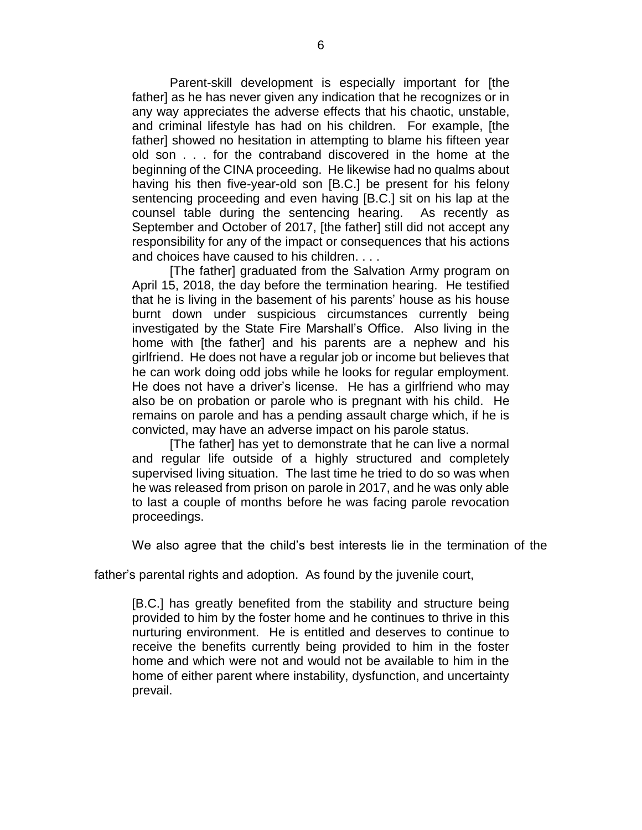Parent-skill development is especially important for [the father] as he has never given any indication that he recognizes or in any way appreciates the adverse effects that his chaotic, unstable, and criminal lifestyle has had on his children. For example, [the father] showed no hesitation in attempting to blame his fifteen year old son . . . for the contraband discovered in the home at the beginning of the CINA proceeding. He likewise had no qualms about having his then five-year-old son [B.C.] be present for his felony sentencing proceeding and even having [B.C.] sit on his lap at the counsel table during the sentencing hearing. As recently as September and October of 2017, [the father] still did not accept any responsibility for any of the impact or consequences that his actions and choices have caused to his children. . . .

[The father] graduated from the Salvation Army program on April 15, 2018, the day before the termination hearing. He testified that he is living in the basement of his parents' house as his house burnt down under suspicious circumstances currently being investigated by the State Fire Marshall's Office. Also living in the home with [the father] and his parents are a nephew and his girlfriend. He does not have a regular job or income but believes that he can work doing odd jobs while he looks for regular employment. He does not have a driver's license. He has a girlfriend who may also be on probation or parole who is pregnant with his child. He remains on parole and has a pending assault charge which, if he is convicted, may have an adverse impact on his parole status.

[The father] has yet to demonstrate that he can live a normal and regular life outside of a highly structured and completely supervised living situation. The last time he tried to do so was when he was released from prison on parole in 2017, and he was only able to last a couple of months before he was facing parole revocation proceedings.

We also agree that the child's best interests lie in the termination of the

father's parental rights and adoption. As found by the juvenile court,

[B.C.] has greatly benefited from the stability and structure being provided to him by the foster home and he continues to thrive in this nurturing environment. He is entitled and deserves to continue to receive the benefits currently being provided to him in the foster home and which were not and would not be available to him in the home of either parent where instability, dysfunction, and uncertainty prevail.